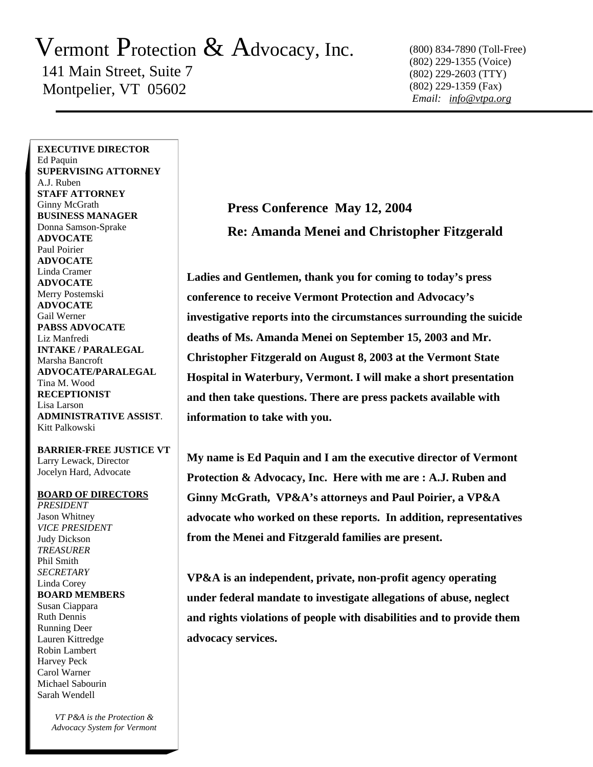## Vermont Protection  $\&$  Advocacy, Inc.

 141 Main Street, Suite 7 Montpelier, VT 05602

(800) 834-7890 (Toll-Free) (802) 229-1355 (Voice) (802) 229-2603 (TTY) (802) 229-1359 (Fax)  *Email: info@vtpa.org*

**EXECUTIVE DIRECTOR** Ed Paquin **SUPERVISING ATTORNEY** A.J. Ruben **STAFF ATTORNEY**  Ginny McGrath **BUSINESS MANAGER**  Donna Samson-Sprake **ADVOCATE**  Paul Poirier **ADVOCATE**  Linda Cramer **ADVOCATE**  Merry Postemski **ADVOCATE**  Gail Werner **PABSS ADVOCATE**  Liz Manfredi **INTAKE / PARALEGAL**  Marsha Bancroft **ADVOCATE/PARALEGAL**  Tina M. Wood **RECEPTIONIST**  Lisa Larson **ADMINISTRATIVE ASSIST**. Kitt Palkowski

**BARRIER-FREE JUSTICE VT**  Larry Lewack, Director Jocelyn Hard, Advocate

## **BOARD OF DIRECTORS**

*PRESIDENT* Jason Whitney *VICE PRESIDENT*  Judy Dickson *TREASURER*  Phil Smith *SECRETARY*  Linda Corey **BOARD MEMBERS**  Susan Ciappara Ruth Dennis Running Deer Lauren Kittredge Robin Lambert Harvey Peck Carol Warner Michael Sabourin Sarah Wendell

> *VT P&A is the Protection & Advocacy System for Vermont*

## **Press Conference May 12, 2004 Re: Amanda Menei and Christopher Fitzgerald**

**Ladies and Gentlemen, thank you for coming to today's press conference to receive Vermont Protection and Advocacy's investigative reports into the circumstances surrounding the suicide deaths of Ms. Amanda Menei on September 15, 2003 and Mr. Christopher Fitzgerald on August 8, 2003 at the Vermont State Hospital in Waterbury, Vermont. I will make a short presentation and then take questions. There are press packets available with information to take with you.** 

**My name is Ed Paquin and I am the executive director of Vermont Protection & Advocacy, Inc. Here with me are : A.J. Ruben and Ginny McGrath, VP&A's attorneys and Paul Poirier, a VP&A advocate who worked on these reports. In addition, representatives from the Menei and Fitzgerald families are present.** 

**VP&A is an independent, private, non-profit agency operating under federal mandate to investigate allegations of abuse, neglect and rights violations of people with disabilities and to provide them advocacy services.**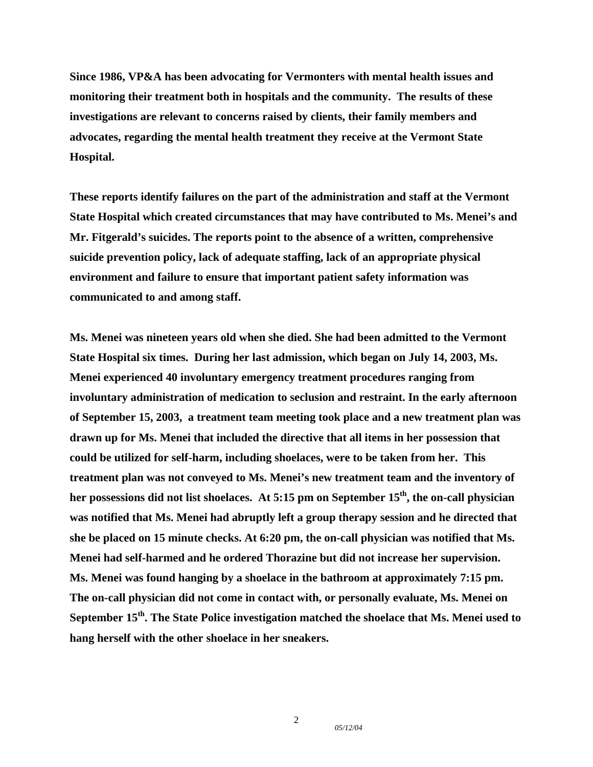**Since 1986, VP&A has been advocating for Vermonters with mental health issues and monitoring their treatment both in hospitals and the community. The results of these investigations are relevant to concerns raised by clients, their family members and advocates, regarding the mental health treatment they receive at the Vermont State Hospital.** 

**These reports identify failures on the part of the administration and staff at the Vermont State Hospital which created circumstances that may have contributed to Ms. Menei's and Mr. Fitgerald's suicides. The reports point to the absence of a written, comprehensive suicide prevention policy, lack of adequate staffing, lack of an appropriate physical environment and failure to ensure that important patient safety information was communicated to and among staff.** 

**Ms. Menei was nineteen years old when she died. She had been admitted to the Vermont State Hospital six times. During her last admission, which began on July 14, 2003, Ms. Menei experienced 40 involuntary emergency treatment procedures ranging from involuntary administration of medication to seclusion and restraint. In the early afternoon of September 15, 2003, a treatment team meeting took place and a new treatment plan was drawn up for Ms. Menei that included the directive that all items in her possession that could be utilized for self-harm, including shoelaces, were to be taken from her. This treatment plan was not conveyed to Ms. Menei's new treatment team and the inventory of**  her possessions did not list shoelaces. At 5:15 pm on September 15<sup>th</sup>, the on-call physician **was notified that Ms. Menei had abruptly left a group therapy session and he directed that she be placed on 15 minute checks. At 6:20 pm, the on-call physician was notified that Ms. Menei had self-harmed and he ordered Thorazine but did not increase her supervision. Ms. Menei was found hanging by a shoelace in the bathroom at approximately 7:15 pm. The on-call physician did not come in contact with, or personally evaluate, Ms. Menei on**  September 15<sup>th</sup>. The State Police investigation matched the shoelace that Ms. Menei used to **hang herself with the other shoelace in her sneakers.** 

*05/12/04*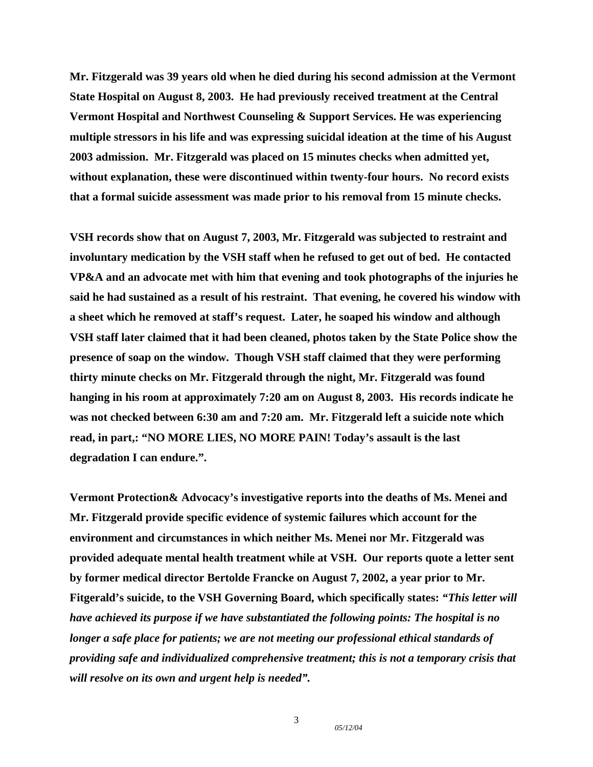**Mr. Fitzgerald was 39 years old when he died during his second admission at the Vermont State Hospital on August 8, 2003. He had previously received treatment at the Central Vermont Hospital and Northwest Counseling & Support Services. He was experiencing multiple stressors in his life and was expressing suicidal ideation at the time of his August 2003 admission. Mr. Fitzgerald was placed on 15 minutes checks when admitted yet, without explanation, these were discontinued within twenty-four hours. No record exists that a formal suicide assessment was made prior to his removal from 15 minute checks.** 

**VSH records show that on August 7, 2003, Mr. Fitzgerald was subjected to restraint and involuntary medication by the VSH staff when he refused to get out of bed. He contacted VP&A and an advocate met with him that evening and took photographs of the injuries he said he had sustained as a result of his restraint. That evening, he covered his window with a sheet which he removed at staff's request. Later, he soaped his window and although VSH staff later claimed that it had been cleaned, photos taken by the State Police show the presence of soap on the window. Though VSH staff claimed that they were performing thirty minute checks on Mr. Fitzgerald through the night, Mr. Fitzgerald was found hanging in his room at approximately 7:20 am on August 8, 2003. His records indicate he was not checked between 6:30 am and 7:20 am. Mr. Fitzgerald left a suicide note which read, in part,: "NO MORE LIES, NO MORE PAIN! Today's assault is the last degradation I can endure.".** 

**Vermont Protection& Advocacy's investigative reports into the deaths of Ms. Menei and Mr. Fitzgerald provide specific evidence of systemic failures which account for the environment and circumstances in which neither Ms. Menei nor Mr. Fitzgerald was provided adequate mental health treatment while at VSH. Our reports quote a letter sent by former medical director Bertolde Francke on August 7, 2002, a year prior to Mr. Fitgerald's suicide, to the VSH Governing Board, which specifically states:** *"This letter will have achieved its purpose if we have substantiated the following points: The hospital is no longer a safe place for patients; we are not meeting our professional ethical standards of providing safe and individualized comprehensive treatment; this is not a temporary crisis that will resolve on its own and urgent help is needed".* 

3

*05/12/04*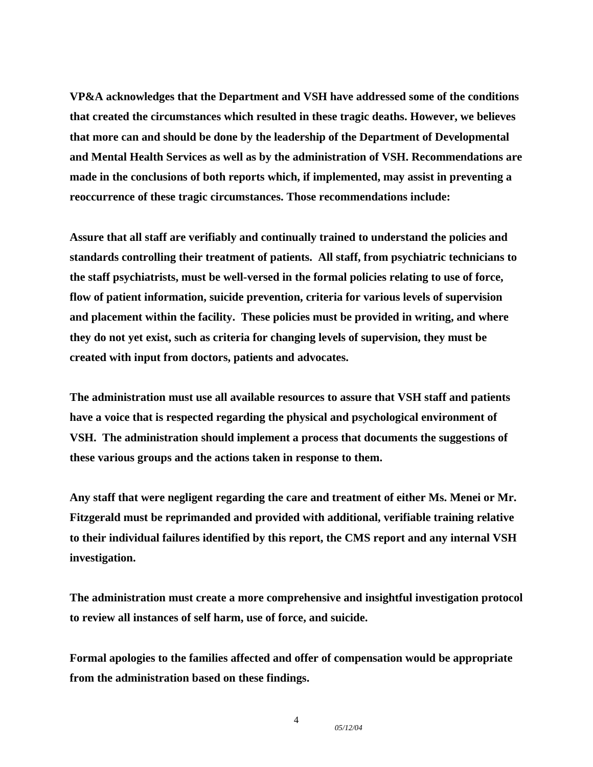**VP&A acknowledges that the Department and VSH have addressed some of the conditions that created the circumstances which resulted in these tragic deaths. However, we believes that more can and should be done by the leadership of the Department of Developmental and Mental Health Services as well as by the administration of VSH. Recommendations are made in the conclusions of both reports which, if implemented, may assist in preventing a reoccurrence of these tragic circumstances. Those recommendations include:** 

**Assure that all staff are verifiably and continually trained to understand the policies and standards controlling their treatment of patients. All staff, from psychiatric technicians to the staff psychiatrists, must be well-versed in the formal policies relating to use of force, flow of patient information, suicide prevention, criteria for various levels of supervision and placement within the facility. These policies must be provided in writing, and where they do not yet exist, such as criteria for changing levels of supervision, they must be created with input from doctors, patients and advocates.** 

**The administration must use all available resources to assure that VSH staff and patients have a voice that is respected regarding the physical and psychological environment of VSH. The administration should implement a process that documents the suggestions of these various groups and the actions taken in response to them.** 

**Any staff that were negligent regarding the care and treatment of either Ms. Menei or Mr. Fitzgerald must be reprimanded and provided with additional, verifiable training relative to their individual failures identified by this report, the CMS report and any internal VSH investigation.** 

**The administration must create a more comprehensive and insightful investigation protocol to review all instances of self harm, use of force, and suicide.** 

**Formal apologies to the families affected and offer of compensation would be appropriate from the administration based on these findings.** 

4

*05/12/04*